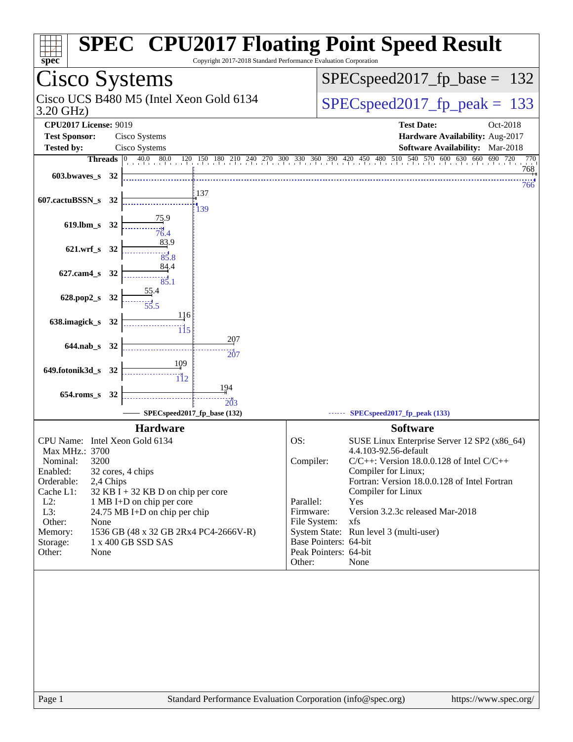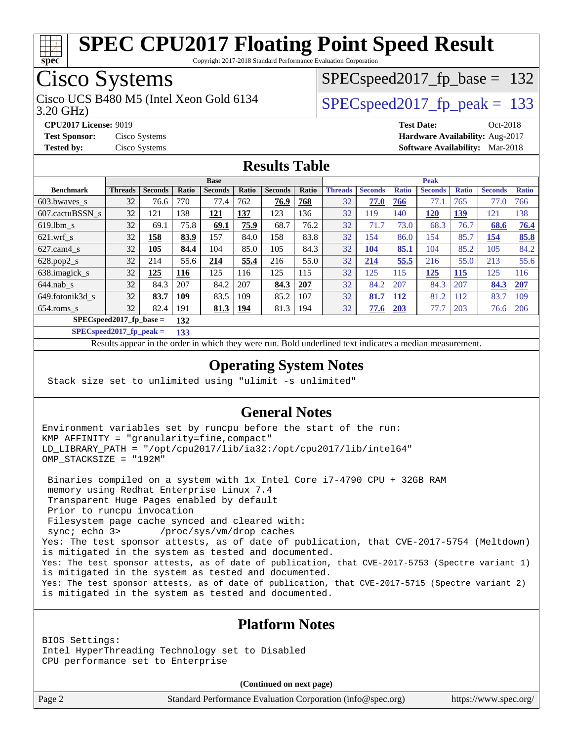

Copyright 2017-2018 Standard Performance Evaluation Corporation

### Cisco Systems

3.20 GHz) Cisco UCS B480 M5 (Intel Xeon Gold 6134  $\vert$  SPECspeed2017 fp\_peak = 133

SPECspeed2017 fp base =  $132$ 

**[CPU2017 License:](http://www.spec.org/auto/cpu2017/Docs/result-fields.html#CPU2017License)** 9019 **[Test Date:](http://www.spec.org/auto/cpu2017/Docs/result-fields.html#TestDate)** Oct-2018 **[Test Sponsor:](http://www.spec.org/auto/cpu2017/Docs/result-fields.html#TestSponsor)** Cisco Systems **[Hardware Availability:](http://www.spec.org/auto/cpu2017/Docs/result-fields.html#HardwareAvailability)** Aug-2017 **[Tested by:](http://www.spec.org/auto/cpu2017/Docs/result-fields.html#Testedby)** Cisco Systems **[Software Availability:](http://www.spec.org/auto/cpu2017/Docs/result-fields.html#SoftwareAvailability)** Mar-2018

#### **[Results Table](http://www.spec.org/auto/cpu2017/Docs/result-fields.html#ResultsTable)**

|                                  | <b>Base</b>    |                |            |                |              |                | <b>Peak</b> |                |                |              |                |              |                |              |
|----------------------------------|----------------|----------------|------------|----------------|--------------|----------------|-------------|----------------|----------------|--------------|----------------|--------------|----------------|--------------|
| <b>Benchmark</b>                 | <b>Threads</b> | <b>Seconds</b> | Ratio      | <b>Seconds</b> | <b>Ratio</b> | <b>Seconds</b> | Ratio       | <b>Threads</b> | <b>Seconds</b> | <b>Ratio</b> | <b>Seconds</b> | <b>Ratio</b> | <b>Seconds</b> | <b>Ratio</b> |
| $603.bwaves$ s                   | 32             | 76.6           | 770        | 77.4           | 762          | 76.9           | 768         | 32             | 77.0           | 766          | 77.1           | 765          | 77.0           | 766          |
| 607.cactuBSSN s                  | 32             | 121            | 138        | 121            | 137          | 123            | 136         | 32             | 119            | 140          | <b>120</b>     | <u>139</u>   | 121            | 138          |
| $619.1$ bm s                     | 32             | 69.1           | 75.8       | 69.1           | 75.9         | 68.7           | 76.2        | 32             | 71.7           | 73.0         | 68.3           | 76.7         | 68.6           | 76.4         |
| $621$ .wrf s                     | 32             | 158            | 83.9       | 157            | 84.0         | 158            | 83.8        | 32             | 154            | 86.0         | 154            | 85.7         | 154            | 85.8         |
| $627$ .cam4 s                    | 32             | 105            | 84.4       | 104            | 85.0         | 105            | 84.3        | 32             | 104            | 85.1         | 104            | 85.2         | 105            | 84.2         |
| $628.pop2_s$                     | 32             | 214            | 55.6       | 214            | 55.4         | 216            | 55.0        | 32             | 214            | 55.5         | 216            | 55.0         | 213            | 55.6         |
| 638.imagick_s                    | 32             | 125            | <b>116</b> | 125            | 116          | 125            | 115         | 32             | 125            | 115          | 125            | 115          | 125            | 116          |
| $644$ .nab s                     | 32             | 84.3           | 207        | 84.2           | 207          | 84.3           | 207         | 32             | 84.2           | 207          | 84.3           | 207          | 84.3           | 207          |
| 649.fotonik3d s                  | 32             | 83.7           | 109        | 83.5           | 109          | 85.2           | 107         | 32             | 81.7           | 112          | 81.2           | 112          | 83.7           | 109          |
| $654$ .roms s                    | 32             | 82.4           | 191        | 81.3           | <u>194</u>   | 81.3           | 194         | 32             | 77.6           | 203          | 77.7           | 203          | 76.6           | 206          |
| $SPECspeed2017$ fp base =<br>132 |                |                |            |                |              |                |             |                |                |              |                |              |                |              |

**[SPECspeed2017\\_fp\\_peak =](http://www.spec.org/auto/cpu2017/Docs/result-fields.html#SPECspeed2017fppeak) 133**

Results appear in the [order in which they were run.](http://www.spec.org/auto/cpu2017/Docs/result-fields.html#RunOrder) Bold underlined text [indicates a median measurement](http://www.spec.org/auto/cpu2017/Docs/result-fields.html#Median).

#### **[Operating System Notes](http://www.spec.org/auto/cpu2017/Docs/result-fields.html#OperatingSystemNotes)**

Stack size set to unlimited using "ulimit -s unlimited"

#### **[General Notes](http://www.spec.org/auto/cpu2017/Docs/result-fields.html#GeneralNotes)**

Environment variables set by runcpu before the start of the run: KMP\_AFFINITY = "granularity=fine,compact" LD\_LIBRARY\_PATH = "/opt/cpu2017/lib/ia32:/opt/cpu2017/lib/intel64" OMP\_STACKSIZE = "192M"

 Binaries compiled on a system with 1x Intel Core i7-4790 CPU + 32GB RAM memory using Redhat Enterprise Linux 7.4 Transparent Huge Pages enabled by default Prior to runcpu invocation Filesystem page cache synced and cleared with: sync; echo 3> /proc/sys/vm/drop\_caches Yes: The test sponsor attests, as of date of publication, that CVE-2017-5754 (Meltdown) is mitigated in the system as tested and documented. Yes: The test sponsor attests, as of date of publication, that CVE-2017-5753 (Spectre variant 1) is mitigated in the system as tested and documented. Yes: The test sponsor attests, as of date of publication, that CVE-2017-5715 (Spectre variant 2) is mitigated in the system as tested and documented.

#### **[Platform Notes](http://www.spec.org/auto/cpu2017/Docs/result-fields.html#PlatformNotes)**

BIOS Settings: Intel HyperThreading Technology set to Disabled CPU performance set to Enterprise

**(Continued on next page)**

Page 2 Standard Performance Evaluation Corporation [\(info@spec.org\)](mailto:info@spec.org) <https://www.spec.org/>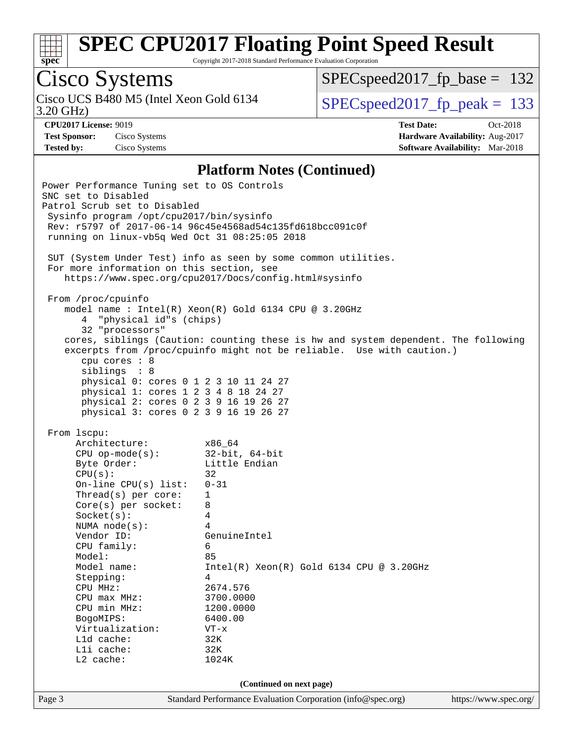

Copyright 2017-2018 Standard Performance Evaluation Corporation

# Cisco Systems

3.20 GHz) Cisco UCS B480 M5 (Intel Xeon Gold 6134  $SPECspeed2017_fp\_peak = 133$ 

[SPECspeed2017\\_fp\\_base =](http://www.spec.org/auto/cpu2017/Docs/result-fields.html#SPECspeed2017fpbase) 132

**[CPU2017 License:](http://www.spec.org/auto/cpu2017/Docs/result-fields.html#CPU2017License)** 9019 **[Test Date:](http://www.spec.org/auto/cpu2017/Docs/result-fields.html#TestDate)** Oct-2018 **[Test Sponsor:](http://www.spec.org/auto/cpu2017/Docs/result-fields.html#TestSponsor)** Cisco Systems **[Hardware Availability:](http://www.spec.org/auto/cpu2017/Docs/result-fields.html#HardwareAvailability)** Aug-2017 **[Tested by:](http://www.spec.org/auto/cpu2017/Docs/result-fields.html#Testedby)** Cisco Systems **[Software Availability:](http://www.spec.org/auto/cpu2017/Docs/result-fields.html#SoftwareAvailability)** Mar-2018

#### **[Platform Notes \(Continued\)](http://www.spec.org/auto/cpu2017/Docs/result-fields.html#PlatformNotes)**

| Power Performance Tuning set to OS Controls<br>SNC set to Disabled<br>Patrol Scrub set to Disabled<br>Sysinfo program /opt/cpu2017/bin/sysinfo<br>running on linux-vb5q Wed Oct 31 08:25:05 2018<br>For more information on this section, see                                                                                                                                                  | Rev: r5797 of 2017-06-14 96c45e4568ad54c135fd618bcc091c0f<br>SUT (System Under Test) info as seen by some common utilities.<br>https://www.spec.org/cpu2017/Docs/config.html#sysinfo                                                                                                                        |                       |
|------------------------------------------------------------------------------------------------------------------------------------------------------------------------------------------------------------------------------------------------------------------------------------------------------------------------------------------------------------------------------------------------|-------------------------------------------------------------------------------------------------------------------------------------------------------------------------------------------------------------------------------------------------------------------------------------------------------------|-----------------------|
| From /proc/cpuinfo<br>4 "physical id"s (chips)<br>32 "processors"<br>cpu cores : 8<br>siblings : 8<br>physical 0: cores 0 1 2 3 10 11 24 27<br>physical 1: cores 1 2 3 4 8 18 24 27<br>physical 2: cores 0 2 3 9 16 19 26 27<br>physical 3: cores 0 2 3 9 16 19 26 27                                                                                                                          | model name : Intel(R) Xeon(R) Gold 6134 CPU @ 3.20GHz<br>cores, siblings (Caution: counting these is hw and system dependent. The following<br>excerpts from /proc/cpuinfo might not be reliable. Use with caution.)                                                                                        |                       |
| From 1scpu:<br>Architecture:<br>CPU op-mode(s):<br>Byte Order:<br>Byte Order:<br>CPU(s):<br>On-line CPU(s) list:<br>Thread(s) per core:<br>$Core(s)$ per socket:<br>Socket(s):<br>NUMA node(s):<br>Vendor ID:<br>CPU family:<br>Model:<br>Model name:<br>Stepping:<br>CPU MHz:<br>$CPU$ $max$ $MHz$ :<br>CPU min MHz:<br>BogoMIPS:<br>Virtualization:<br>L1d cache:<br>Lli cache:<br>L2 cache: | x86_64<br>$32$ -bit, $64$ -bit<br>Little Endian<br>32<br>$0 - 31$<br>$\mathbf{1}$<br>8<br>4<br>4<br>GenuineIntel<br>6<br>85<br>$Intel(R) Xeon(R) Gold 6134 CPU @ 3.20GHz$<br>$\overline{4}$<br>2674.576<br>3700.0000<br>1200.0000<br>6400.00<br>$VT - x$<br>32K<br>32K<br>1024K<br>(Continued on next page) |                       |
| Page 3                                                                                                                                                                                                                                                                                                                                                                                         | Standard Performance Evaluation Corporation (info@spec.org)                                                                                                                                                                                                                                                 | https://www.spec.org/ |
|                                                                                                                                                                                                                                                                                                                                                                                                |                                                                                                                                                                                                                                                                                                             |                       |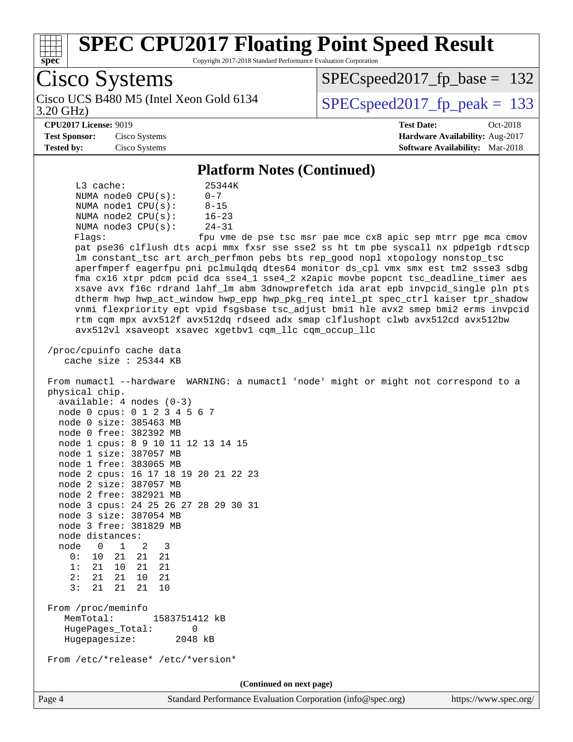

Copyright 2017-2018 Standard Performance Evaluation Corporation

| Cisco Systems                                                                                                                                                         | $SPEC speed2017_f p\_base = 132$                              |  |  |
|-----------------------------------------------------------------------------------------------------------------------------------------------------------------------|---------------------------------------------------------------|--|--|
| Cisco UCS B480 M5 (Intel Xeon Gold 6134<br>3.20 GHz)                                                                                                                  | $SPEC speed2017_fp\_peak = 133$                               |  |  |
| <b>CPU2017 License: 9019</b>                                                                                                                                          | <b>Test Date:</b><br>Oct-2018                                 |  |  |
| <b>Test Sponsor:</b><br>Cisco Systems                                                                                                                                 | Hardware Availability: Aug-2017                               |  |  |
| <b>Tested by:</b><br>Cisco Systems                                                                                                                                    | Software Availability: Mar-2018                               |  |  |
| <b>Platform Notes (Continued)</b>                                                                                                                                     |                                                               |  |  |
| L3 cache:<br>25344K                                                                                                                                                   |                                                               |  |  |
| $0 - 7$<br>NUMA node0 CPU(s):<br>$8 - 15$<br>NUMA nodel CPU(s):                                                                                                       |                                                               |  |  |
| $16 - 23$<br>NUMA $node2$ $CPU(s):$                                                                                                                                   |                                                               |  |  |
| NUMA node3 CPU(s):<br>$24 - 31$                                                                                                                                       |                                                               |  |  |
| Flaqs:                                                                                                                                                                | fpu vme de pse tsc msr pae mce cx8 apic sep mtrr pge mca cmov |  |  |
| pat pse36 clflush dts acpi mmx fxsr sse sse2 ss ht tm pbe syscall nx pdpelgb rdtscp<br>lm constant_tsc art arch_perfmon pebs bts rep_good nopl xtopology nonstop_tsc  |                                                               |  |  |
| aperfmperf eagerfpu pni pclmulqdq dtes64 monitor ds_cpl vmx smx est tm2 ssse3 sdbg                                                                                    |                                                               |  |  |
| fma cx16 xtpr pdcm pcid dca sse4_1 sse4_2 x2apic movbe popcnt tsc_deadline_timer aes                                                                                  |                                                               |  |  |
| xsave avx f16c rdrand lahf_lm abm 3dnowprefetch ida arat epb invpcid_single pln pts                                                                                   |                                                               |  |  |
| dtherm hwp hwp_act_window hwp_epp hwp_pkg_req intel_pt spec_ctrl kaiser tpr_shadow                                                                                    |                                                               |  |  |
| vnmi flexpriority ept vpid fsgsbase tsc_adjust bmil hle avx2 smep bmi2 erms invpcid<br>rtm cqm mpx avx512f avx512dq rdseed adx smap clflushopt clwb avx512cd avx512bw |                                                               |  |  |
| avx512vl xsaveopt xsavec xgetbv1 cqm_llc cqm_occup_llc                                                                                                                |                                                               |  |  |
|                                                                                                                                                                       |                                                               |  |  |
| /proc/cpuinfo cache data<br>cache size : 25344 KB                                                                                                                     |                                                               |  |  |
|                                                                                                                                                                       |                                                               |  |  |
| From numactl --hardware WARNING: a numactl 'node' might or might not correspond to a                                                                                  |                                                               |  |  |
| physical chip.                                                                                                                                                        |                                                               |  |  |
| $available: 4 nodes (0-3)$                                                                                                                                            |                                                               |  |  |
| node 0 cpus: 0 1 2 3 4 5 6 7<br>node 0 size: 385463 MB                                                                                                                |                                                               |  |  |
| node 0 free: 382392 MB                                                                                                                                                |                                                               |  |  |
| node 1 cpus: 8 9 10 11 12 13 14 15                                                                                                                                    |                                                               |  |  |
| node 1 size: 387057 MB                                                                                                                                                |                                                               |  |  |
| node 1 free: 383065 MB<br>node 2 cpus: 16 17 18 19 20 21 22 23                                                                                                        |                                                               |  |  |
| node 2 size: 387057 MB                                                                                                                                                |                                                               |  |  |
| node 2 free: 382921 MB                                                                                                                                                |                                                               |  |  |
| node 3 cpus: 24 25 26 27 28 29 30 31                                                                                                                                  |                                                               |  |  |
| node 3 size: 387054 MB<br>node 3 free: 381829 MB                                                                                                                      |                                                               |  |  |
| node distances:                                                                                                                                                       |                                                               |  |  |
| node<br>$\mathbf{1}$<br>3<br>$\overline{0}$<br>2                                                                                                                      |                                                               |  |  |
| 0:<br>10<br>21<br>21<br>21                                                                                                                                            |                                                               |  |  |
| 1: 21 10<br>21 21<br>2:<br>21<br>21<br>10 21                                                                                                                          |                                                               |  |  |
| 3:<br>21<br>21<br>21 10                                                                                                                                               |                                                               |  |  |
|                                                                                                                                                                       |                                                               |  |  |
| From /proc/meminfo                                                                                                                                                    |                                                               |  |  |
| MemTotal:<br>1583751412 kB<br>HugePages_Total:<br>$\mathbf 0$                                                                                                         |                                                               |  |  |
| Hugepagesize:<br>2048 kB                                                                                                                                              |                                                               |  |  |
| From /etc/*release* /etc/*version*                                                                                                                                    |                                                               |  |  |
| (Continued on next page)                                                                                                                                              |                                                               |  |  |

Page 4 Standard Performance Evaluation Corporation [\(info@spec.org\)](mailto:info@spec.org) <https://www.spec.org/>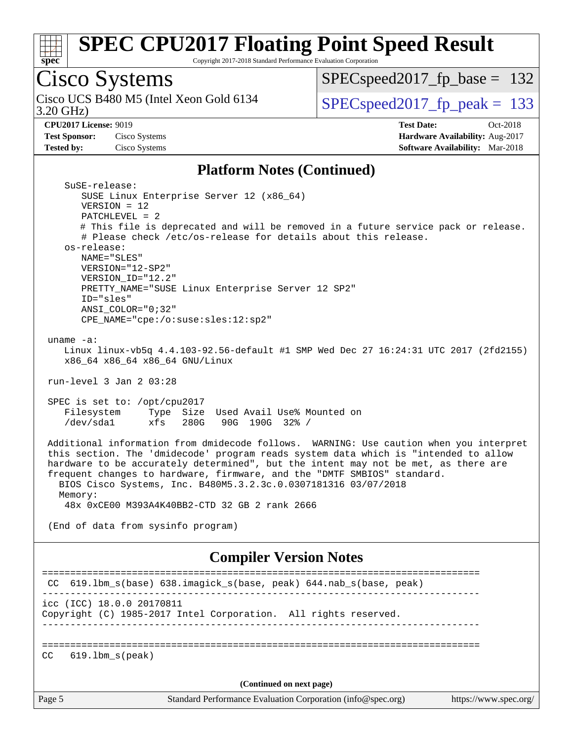

Copyright 2017-2018 Standard Performance Evaluation Corporation

# Cisco Systems

3.20 GHz) Cisco UCS B480 M5 (Intel Xeon Gold 6134  $SPECspeed2017_fp\_peak = 133$ 

[SPECspeed2017\\_fp\\_base =](http://www.spec.org/auto/cpu2017/Docs/result-fields.html#SPECspeed2017fpbase) 132

**[Test Sponsor:](http://www.spec.org/auto/cpu2017/Docs/result-fields.html#TestSponsor)** Cisco Systems **[Hardware Availability:](http://www.spec.org/auto/cpu2017/Docs/result-fields.html#HardwareAvailability)** Aug-2017

**[CPU2017 License:](http://www.spec.org/auto/cpu2017/Docs/result-fields.html#CPU2017License)** 9019 **[Test Date:](http://www.spec.org/auto/cpu2017/Docs/result-fields.html#TestDate)** Oct-2018 **[Tested by:](http://www.spec.org/auto/cpu2017/Docs/result-fields.html#Testedby)** Cisco Systems **[Software Availability:](http://www.spec.org/auto/cpu2017/Docs/result-fields.html#SoftwareAvailability)** Mar-2018

#### **[Platform Notes \(Continued\)](http://www.spec.org/auto/cpu2017/Docs/result-fields.html#PlatformNotes)**

| Page 5                  | Standard Performance Evaluation Corporation (info@spec.org)                                                                                                                                                                                                                                                                                                                                                                                                       | https://www.spec.org/ |
|-------------------------|-------------------------------------------------------------------------------------------------------------------------------------------------------------------------------------------------------------------------------------------------------------------------------------------------------------------------------------------------------------------------------------------------------------------------------------------------------------------|-----------------------|
|                         | (Continued on next page)                                                                                                                                                                                                                                                                                                                                                                                                                                          |                       |
| CC                      | $619.1$ bm $s$ (peak)                                                                                                                                                                                                                                                                                                                                                                                                                                             |                       |
|                         | icc (ICC) 18.0.0 20170811<br>Copyright (C) 1985-2017 Intel Corporation. All rights reserved.                                                                                                                                                                                                                                                                                                                                                                      |                       |
| CC.                     | 619.1bm_s(base) 638.imagick_s(base, peak) 644.nab_s(base, peak)<br>------------------------                                                                                                                                                                                                                                                                                                                                                                       |                       |
|                         | <b>Compiler Version Notes</b>                                                                                                                                                                                                                                                                                                                                                                                                                                     |                       |
|                         | (End of data from sysinfo program)                                                                                                                                                                                                                                                                                                                                                                                                                                |                       |
| Memory:                 | Additional information from dmidecode follows. WARNING: Use caution when you interpret<br>this section. The 'dmidecode' program reads system data which is "intended to allow<br>hardware to be accurately determined", but the intent may not be met, as there are<br>frequent changes to hardware, firmware, and the "DMTF SMBIOS" standard.<br>BIOS Cisco Systems, Inc. B480M5.3.2.3c.0.0307181316 03/07/2018<br>48x 0xCE00 M393A4K40BB2-CTD 32 GB 2 rank 2666 |                       |
| Filesystem<br>/dev/sda1 | SPEC is set to: /opt/cpu2017<br>Type Size Used Avail Use% Mounted on<br>xfs<br>280G<br>90G 190G 32% /                                                                                                                                                                                                                                                                                                                                                             |                       |
|                         | run-level $3$ Jan $2$ 03:28                                                                                                                                                                                                                                                                                                                                                                                                                                       |                       |
| uname $-a$ :            | Linux linux-vb5q 4.4.103-92.56-default #1 SMP Wed Dec 27 16:24:31 UTC 2017 (2fd2155)<br>x86_64 x86_64 x86_64 GNU/Linux                                                                                                                                                                                                                                                                                                                                            |                       |
|                         | ID="sles"<br>ANSI COLOR="0;32"<br>CPE_NAME="cpe:/o:suse:sles:12:sp2"                                                                                                                                                                                                                                                                                                                                                                                              |                       |
|                         | VERSION="12-SP2"<br>VERSION_ID="12.2"<br>PRETTY_NAME="SUSE Linux Enterprise Server 12 SP2"                                                                                                                                                                                                                                                                                                                                                                        |                       |
| os-release:             | NAME="SLES"                                                                                                                                                                                                                                                                                                                                                                                                                                                       |                       |
|                         | $PATCHLEVEL = 2$<br># This file is deprecated and will be removed in a future service pack or release.<br># Please check /etc/os-release for details about this release.                                                                                                                                                                                                                                                                                          |                       |
|                         | SuSE-release:<br>SUSE Linux Enterprise Server 12 (x86_64)<br>$VERSION = 12$                                                                                                                                                                                                                                                                                                                                                                                       |                       |
|                         |                                                                                                                                                                                                                                                                                                                                                                                                                                                                   |                       |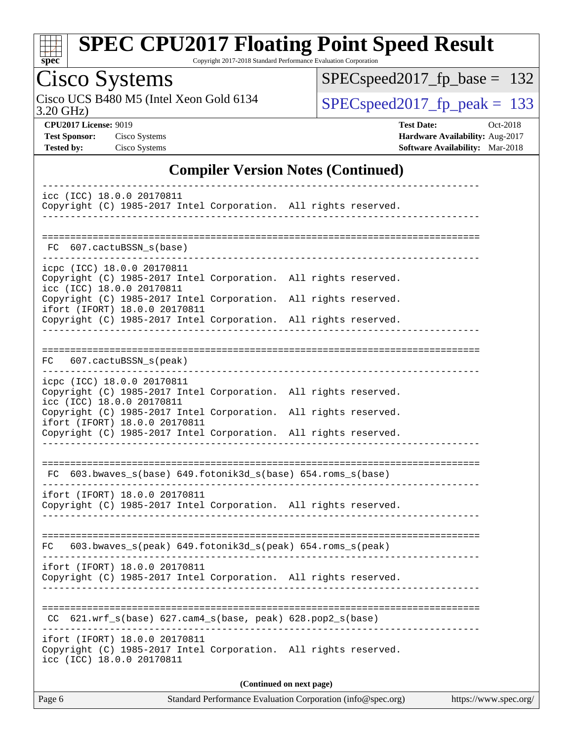

Copyright 2017-2018 Standard Performance Evaluation Corporation

# Cisco Systems

3.20 GHz) Cisco UCS B480 M5 (Intel Xeon Gold 6134  $SPECspeed2017_fp\_peak = 133$ 

[SPECspeed2017\\_fp\\_base =](http://www.spec.org/auto/cpu2017/Docs/result-fields.html#SPECspeed2017fpbase) 132

**[CPU2017 License:](http://www.spec.org/auto/cpu2017/Docs/result-fields.html#CPU2017License)** 9019 **[Test Date:](http://www.spec.org/auto/cpu2017/Docs/result-fields.html#TestDate)** Oct-2018 **[Test Sponsor:](http://www.spec.org/auto/cpu2017/Docs/result-fields.html#TestSponsor)** Cisco Systems **[Hardware Availability:](http://www.spec.org/auto/cpu2017/Docs/result-fields.html#HardwareAvailability)** Aug-2017 **[Tested by:](http://www.spec.org/auto/cpu2017/Docs/result-fields.html#Testedby)** Cisco Systems **[Software Availability:](http://www.spec.org/auto/cpu2017/Docs/result-fields.html#SoftwareAvailability)** Mar-2018

#### **[Compiler Version Notes \(Continued\)](http://www.spec.org/auto/cpu2017/Docs/result-fields.html#CompilerVersionNotes)**

| icc (ICC) 18.0.0 20170811<br>Copyright (C) 1985-2017 Intel Corporation. All rights reserved.                                                                                                                                                                                                      |  |  |  |  |  |  |
|---------------------------------------------------------------------------------------------------------------------------------------------------------------------------------------------------------------------------------------------------------------------------------------------------|--|--|--|--|--|--|
| FC 607.cactuBSSN_s(base)                                                                                                                                                                                                                                                                          |  |  |  |  |  |  |
| icpc (ICC) 18.0.0 20170811<br>Copyright (C) 1985-2017 Intel Corporation. All rights reserved.<br>icc (ICC) 18.0.0 20170811<br>Copyright (C) 1985-2017 Intel Corporation. All rights reserved.<br>ifort (IFORT) 18.0.0 20170811<br>Copyright (C) 1985-2017 Intel Corporation. All rights reserved. |  |  |  |  |  |  |
| 607.cactuBSSN_s(peak)<br>FC                                                                                                                                                                                                                                                                       |  |  |  |  |  |  |
| icpc (ICC) 18.0.0 20170811<br>Copyright (C) 1985-2017 Intel Corporation. All rights reserved.<br>icc (ICC) 18.0.0 20170811<br>Copyright (C) 1985-2017 Intel Corporation. All rights reserved.<br>ifort (IFORT) 18.0.0 20170811<br>Copyright (C) 1985-2017 Intel Corporation. All rights reserved. |  |  |  |  |  |  |
| FC 603.bwaves_s(base) 649.fotonik3d_s(base) 654.roms_s(base)<br>ifort (IFORT) 18.0.0 20170811                                                                                                                                                                                                     |  |  |  |  |  |  |
| Copyright (C) 1985-2017 Intel Corporation. All rights reserved.                                                                                                                                                                                                                                   |  |  |  |  |  |  |
| 603.bwaves_s(peak) 649.fotonik3d_s(peak) 654.roms_s(peak)<br>FC<br>ifort (IFORT) 18.0.0 20170811<br>Copyright (C) 1985-2017 Intel Corporation. All rights reserved.                                                                                                                               |  |  |  |  |  |  |
| CC 621.wrf_s(base) 627.cam4_s(base, peak) 628.pop2_s(base)                                                                                                                                                                                                                                        |  |  |  |  |  |  |
| ifort (IFORT) 18.0.0 20170811<br>Copyright (C) 1985-2017 Intel Corporation. All rights reserved.<br>icc (ICC) 18.0.0 20170811                                                                                                                                                                     |  |  |  |  |  |  |
| (Continued on next page)                                                                                                                                                                                                                                                                          |  |  |  |  |  |  |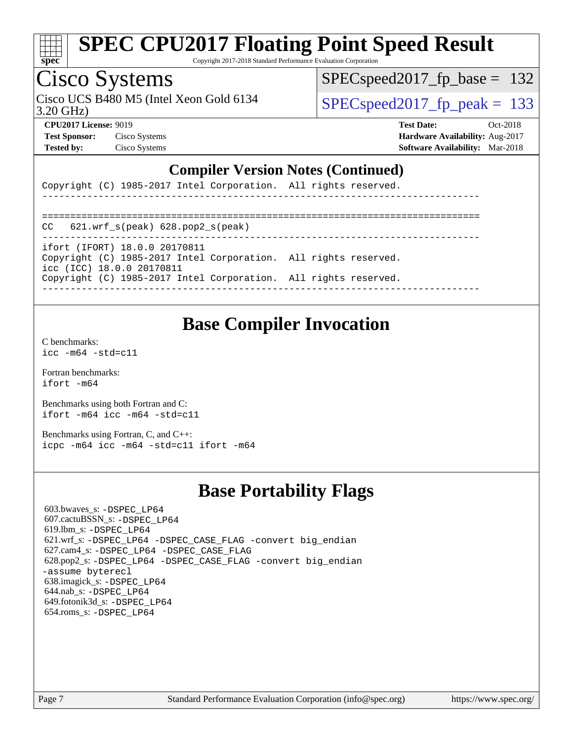

Copyright 2017-2018 Standard Performance Evaluation Corporation

### Cisco Systems

3.20 GHz) Cisco UCS B480 M5 (Intel Xeon Gold 6134  $\vert$  SPECspeed2017 fp\_peak = 133

SPECspeed2017 fp base =  $132$ 

**[Test Sponsor:](http://www.spec.org/auto/cpu2017/Docs/result-fields.html#TestSponsor)** Cisco Systems **[Hardware Availability:](http://www.spec.org/auto/cpu2017/Docs/result-fields.html#HardwareAvailability)** Aug-2017

**[CPU2017 License:](http://www.spec.org/auto/cpu2017/Docs/result-fields.html#CPU2017License)** 9019 **[Test Date:](http://www.spec.org/auto/cpu2017/Docs/result-fields.html#TestDate)** Oct-2018 **[Tested by:](http://www.spec.org/auto/cpu2017/Docs/result-fields.html#Testedby)** Cisco Systems **[Software Availability:](http://www.spec.org/auto/cpu2017/Docs/result-fields.html#SoftwareAvailability)** Mar-2018

#### **[Compiler Version Notes \(Continued\)](http://www.spec.org/auto/cpu2017/Docs/result-fields.html#CompilerVersionNotes)**

Copyright (C) 1985-2017 Intel Corporation. All rights reserved.

============================================================================== CC 621.wrf\_s(peak) 628.pop2\_s(peak) ----------------------------------------------------------------------------- ifort (IFORT) 18.0.0 20170811 Copyright (C) 1985-2017 Intel Corporation. All rights reserved. icc (ICC) 18.0.0 20170811 Copyright (C) 1985-2017 Intel Corporation. All rights reserved. ------------------------------------------------------------------------------

------------------------------------------------------------------------------

#### **[Base Compiler Invocation](http://www.spec.org/auto/cpu2017/Docs/result-fields.html#BaseCompilerInvocation)**

[C benchmarks](http://www.spec.org/auto/cpu2017/Docs/result-fields.html#Cbenchmarks): [icc -m64 -std=c11](http://www.spec.org/cpu2017/results/res2018q4/cpu2017-20181113-09747.flags.html#user_CCbase_intel_icc_64bit_c11_33ee0cdaae7deeeab2a9725423ba97205ce30f63b9926c2519791662299b76a0318f32ddfffdc46587804de3178b4f9328c46fa7c2b0cd779d7a61945c91cd35)

[Fortran benchmarks](http://www.spec.org/auto/cpu2017/Docs/result-fields.html#Fortranbenchmarks): [ifort -m64](http://www.spec.org/cpu2017/results/res2018q4/cpu2017-20181113-09747.flags.html#user_FCbase_intel_ifort_64bit_24f2bb282fbaeffd6157abe4f878425411749daecae9a33200eee2bee2fe76f3b89351d69a8130dd5949958ce389cf37ff59a95e7a40d588e8d3a57e0c3fd751)

[Benchmarks using both Fortran and C](http://www.spec.org/auto/cpu2017/Docs/result-fields.html#BenchmarksusingbothFortranandC): [ifort -m64](http://www.spec.org/cpu2017/results/res2018q4/cpu2017-20181113-09747.flags.html#user_CC_FCbase_intel_ifort_64bit_24f2bb282fbaeffd6157abe4f878425411749daecae9a33200eee2bee2fe76f3b89351d69a8130dd5949958ce389cf37ff59a95e7a40d588e8d3a57e0c3fd751) [icc -m64 -std=c11](http://www.spec.org/cpu2017/results/res2018q4/cpu2017-20181113-09747.flags.html#user_CC_FCbase_intel_icc_64bit_c11_33ee0cdaae7deeeab2a9725423ba97205ce30f63b9926c2519791662299b76a0318f32ddfffdc46587804de3178b4f9328c46fa7c2b0cd779d7a61945c91cd35)

[Benchmarks using Fortran, C, and C++:](http://www.spec.org/auto/cpu2017/Docs/result-fields.html#BenchmarksusingFortranCandCXX) [icpc -m64](http://www.spec.org/cpu2017/results/res2018q4/cpu2017-20181113-09747.flags.html#user_CC_CXX_FCbase_intel_icpc_64bit_4ecb2543ae3f1412ef961e0650ca070fec7b7afdcd6ed48761b84423119d1bf6bdf5cad15b44d48e7256388bc77273b966e5eb805aefd121eb22e9299b2ec9d9) [icc -m64 -std=c11](http://www.spec.org/cpu2017/results/res2018q4/cpu2017-20181113-09747.flags.html#user_CC_CXX_FCbase_intel_icc_64bit_c11_33ee0cdaae7deeeab2a9725423ba97205ce30f63b9926c2519791662299b76a0318f32ddfffdc46587804de3178b4f9328c46fa7c2b0cd779d7a61945c91cd35) [ifort -m64](http://www.spec.org/cpu2017/results/res2018q4/cpu2017-20181113-09747.flags.html#user_CC_CXX_FCbase_intel_ifort_64bit_24f2bb282fbaeffd6157abe4f878425411749daecae9a33200eee2bee2fe76f3b89351d69a8130dd5949958ce389cf37ff59a95e7a40d588e8d3a57e0c3fd751)

#### **[Base Portability Flags](http://www.spec.org/auto/cpu2017/Docs/result-fields.html#BasePortabilityFlags)**

 603.bwaves\_s: [-DSPEC\\_LP64](http://www.spec.org/cpu2017/results/res2018q4/cpu2017-20181113-09747.flags.html#suite_basePORTABILITY603_bwaves_s_DSPEC_LP64) 607.cactuBSSN\_s: [-DSPEC\\_LP64](http://www.spec.org/cpu2017/results/res2018q4/cpu2017-20181113-09747.flags.html#suite_basePORTABILITY607_cactuBSSN_s_DSPEC_LP64) 619.lbm\_s: [-DSPEC\\_LP64](http://www.spec.org/cpu2017/results/res2018q4/cpu2017-20181113-09747.flags.html#suite_basePORTABILITY619_lbm_s_DSPEC_LP64) 621.wrf\_s: [-DSPEC\\_LP64](http://www.spec.org/cpu2017/results/res2018q4/cpu2017-20181113-09747.flags.html#suite_basePORTABILITY621_wrf_s_DSPEC_LP64) [-DSPEC\\_CASE\\_FLAG](http://www.spec.org/cpu2017/results/res2018q4/cpu2017-20181113-09747.flags.html#b621.wrf_s_baseCPORTABILITY_DSPEC_CASE_FLAG) [-convert big\\_endian](http://www.spec.org/cpu2017/results/res2018q4/cpu2017-20181113-09747.flags.html#user_baseFPORTABILITY621_wrf_s_convert_big_endian_c3194028bc08c63ac5d04de18c48ce6d347e4e562e8892b8bdbdc0214820426deb8554edfa529a3fb25a586e65a3d812c835984020483e7e73212c4d31a38223) 627.cam4\_s: [-DSPEC\\_LP64](http://www.spec.org/cpu2017/results/res2018q4/cpu2017-20181113-09747.flags.html#suite_basePORTABILITY627_cam4_s_DSPEC_LP64) [-DSPEC\\_CASE\\_FLAG](http://www.spec.org/cpu2017/results/res2018q4/cpu2017-20181113-09747.flags.html#b627.cam4_s_baseCPORTABILITY_DSPEC_CASE_FLAG) 628.pop2\_s: [-DSPEC\\_LP64](http://www.spec.org/cpu2017/results/res2018q4/cpu2017-20181113-09747.flags.html#suite_basePORTABILITY628_pop2_s_DSPEC_LP64) [-DSPEC\\_CASE\\_FLAG](http://www.spec.org/cpu2017/results/res2018q4/cpu2017-20181113-09747.flags.html#b628.pop2_s_baseCPORTABILITY_DSPEC_CASE_FLAG) [-convert big\\_endian](http://www.spec.org/cpu2017/results/res2018q4/cpu2017-20181113-09747.flags.html#user_baseFPORTABILITY628_pop2_s_convert_big_endian_c3194028bc08c63ac5d04de18c48ce6d347e4e562e8892b8bdbdc0214820426deb8554edfa529a3fb25a586e65a3d812c835984020483e7e73212c4d31a38223) [-assume byterecl](http://www.spec.org/cpu2017/results/res2018q4/cpu2017-20181113-09747.flags.html#user_baseFPORTABILITY628_pop2_s_assume_byterecl_7e47d18b9513cf18525430bbf0f2177aa9bf368bc7a059c09b2c06a34b53bd3447c950d3f8d6c70e3faf3a05c8557d66a5798b567902e8849adc142926523472) 638.imagick\_s: [-DSPEC\\_LP64](http://www.spec.org/cpu2017/results/res2018q4/cpu2017-20181113-09747.flags.html#suite_basePORTABILITY638_imagick_s_DSPEC_LP64) 644.nab\_s: [-DSPEC\\_LP64](http://www.spec.org/cpu2017/results/res2018q4/cpu2017-20181113-09747.flags.html#suite_basePORTABILITY644_nab_s_DSPEC_LP64) 649.fotonik3d\_s: [-DSPEC\\_LP64](http://www.spec.org/cpu2017/results/res2018q4/cpu2017-20181113-09747.flags.html#suite_basePORTABILITY649_fotonik3d_s_DSPEC_LP64) 654.roms\_s: [-DSPEC\\_LP64](http://www.spec.org/cpu2017/results/res2018q4/cpu2017-20181113-09747.flags.html#suite_basePORTABILITY654_roms_s_DSPEC_LP64)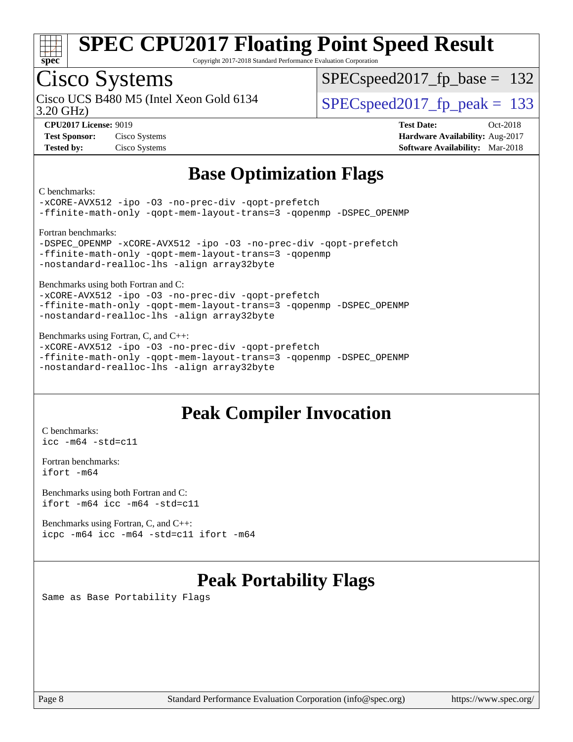

Copyright 2017-2018 Standard Performance Evaluation Corporation

### Cisco Systems

3.20 GHz) Cisco UCS B480 M5 (Intel Xeon Gold 6134  $\vert$  SPECspeed2017 fp\_peak = 133

SPECspeed2017 fp base =  $132$ 

**[CPU2017 License:](http://www.spec.org/auto/cpu2017/Docs/result-fields.html#CPU2017License)** 9019 **[Test Date:](http://www.spec.org/auto/cpu2017/Docs/result-fields.html#TestDate)** Oct-2018 **[Test Sponsor:](http://www.spec.org/auto/cpu2017/Docs/result-fields.html#TestSponsor)** Cisco Systems **[Hardware Availability:](http://www.spec.org/auto/cpu2017/Docs/result-fields.html#HardwareAvailability)** Aug-2017 **[Tested by:](http://www.spec.org/auto/cpu2017/Docs/result-fields.html#Testedby)** Cisco Systems **[Software Availability:](http://www.spec.org/auto/cpu2017/Docs/result-fields.html#SoftwareAvailability)** Mar-2018

### **[Base Optimization Flags](http://www.spec.org/auto/cpu2017/Docs/result-fields.html#BaseOptimizationFlags)**

[C benchmarks](http://www.spec.org/auto/cpu2017/Docs/result-fields.html#Cbenchmarks):

[-xCORE-AVX512](http://www.spec.org/cpu2017/results/res2018q4/cpu2017-20181113-09747.flags.html#user_CCbase_f-xCORE-AVX512) [-ipo](http://www.spec.org/cpu2017/results/res2018q4/cpu2017-20181113-09747.flags.html#user_CCbase_f-ipo) [-O3](http://www.spec.org/cpu2017/results/res2018q4/cpu2017-20181113-09747.flags.html#user_CCbase_f-O3) [-no-prec-div](http://www.spec.org/cpu2017/results/res2018q4/cpu2017-20181113-09747.flags.html#user_CCbase_f-no-prec-div) [-qopt-prefetch](http://www.spec.org/cpu2017/results/res2018q4/cpu2017-20181113-09747.flags.html#user_CCbase_f-qopt-prefetch) [-ffinite-math-only](http://www.spec.org/cpu2017/results/res2018q4/cpu2017-20181113-09747.flags.html#user_CCbase_f_finite_math_only_cb91587bd2077682c4b38af759c288ed7c732db004271a9512da14a4f8007909a5f1427ecbf1a0fb78ff2a814402c6114ac565ca162485bbcae155b5e4258871) [-qopt-mem-layout-trans=3](http://www.spec.org/cpu2017/results/res2018q4/cpu2017-20181113-09747.flags.html#user_CCbase_f-qopt-mem-layout-trans_de80db37974c74b1f0e20d883f0b675c88c3b01e9d123adea9b28688d64333345fb62bc4a798493513fdb68f60282f9a726aa07f478b2f7113531aecce732043) [-qopenmp](http://www.spec.org/cpu2017/results/res2018q4/cpu2017-20181113-09747.flags.html#user_CCbase_qopenmp_16be0c44f24f464004c6784a7acb94aca937f053568ce72f94b139a11c7c168634a55f6653758ddd83bcf7b8463e8028bb0b48b77bcddc6b78d5d95bb1df2967) [-DSPEC\\_OPENMP](http://www.spec.org/cpu2017/results/res2018q4/cpu2017-20181113-09747.flags.html#suite_CCbase_DSPEC_OPENMP) [Fortran benchmarks:](http://www.spec.org/auto/cpu2017/Docs/result-fields.html#Fortranbenchmarks) [-DSPEC\\_OPENMP](http://www.spec.org/cpu2017/results/res2018q4/cpu2017-20181113-09747.flags.html#suite_FCbase_DSPEC_OPENMP) [-xCORE-AVX512](http://www.spec.org/cpu2017/results/res2018q4/cpu2017-20181113-09747.flags.html#user_FCbase_f-xCORE-AVX512) [-ipo](http://www.spec.org/cpu2017/results/res2018q4/cpu2017-20181113-09747.flags.html#user_FCbase_f-ipo) [-O3](http://www.spec.org/cpu2017/results/res2018q4/cpu2017-20181113-09747.flags.html#user_FCbase_f-O3) [-no-prec-div](http://www.spec.org/cpu2017/results/res2018q4/cpu2017-20181113-09747.flags.html#user_FCbase_f-no-prec-div) [-qopt-prefetch](http://www.spec.org/cpu2017/results/res2018q4/cpu2017-20181113-09747.flags.html#user_FCbase_f-qopt-prefetch) [-ffinite-math-only](http://www.spec.org/cpu2017/results/res2018q4/cpu2017-20181113-09747.flags.html#user_FCbase_f_finite_math_only_cb91587bd2077682c4b38af759c288ed7c732db004271a9512da14a4f8007909a5f1427ecbf1a0fb78ff2a814402c6114ac565ca162485bbcae155b5e4258871) [-qopt-mem-layout-trans=3](http://www.spec.org/cpu2017/results/res2018q4/cpu2017-20181113-09747.flags.html#user_FCbase_f-qopt-mem-layout-trans_de80db37974c74b1f0e20d883f0b675c88c3b01e9d123adea9b28688d64333345fb62bc4a798493513fdb68f60282f9a726aa07f478b2f7113531aecce732043) [-qopenmp](http://www.spec.org/cpu2017/results/res2018q4/cpu2017-20181113-09747.flags.html#user_FCbase_qopenmp_16be0c44f24f464004c6784a7acb94aca937f053568ce72f94b139a11c7c168634a55f6653758ddd83bcf7b8463e8028bb0b48b77bcddc6b78d5d95bb1df2967) [-nostandard-realloc-lhs](http://www.spec.org/cpu2017/results/res2018q4/cpu2017-20181113-09747.flags.html#user_FCbase_f_2003_std_realloc_82b4557e90729c0f113870c07e44d33d6f5a304b4f63d4c15d2d0f1fab99f5daaed73bdb9275d9ae411527f28b936061aa8b9c8f2d63842963b95c9dd6426b8a) [-align array32byte](http://www.spec.org/cpu2017/results/res2018q4/cpu2017-20181113-09747.flags.html#user_FCbase_align_array32byte_b982fe038af199962ba9a80c053b8342c548c85b40b8e86eb3cc33dee0d7986a4af373ac2d51c3f7cf710a18d62fdce2948f201cd044323541f22fc0fffc51b6) [Benchmarks using both Fortran and C](http://www.spec.org/auto/cpu2017/Docs/result-fields.html#BenchmarksusingbothFortranandC):

[-xCORE-AVX512](http://www.spec.org/cpu2017/results/res2018q4/cpu2017-20181113-09747.flags.html#user_CC_FCbase_f-xCORE-AVX512) [-ipo](http://www.spec.org/cpu2017/results/res2018q4/cpu2017-20181113-09747.flags.html#user_CC_FCbase_f-ipo) [-O3](http://www.spec.org/cpu2017/results/res2018q4/cpu2017-20181113-09747.flags.html#user_CC_FCbase_f-O3) [-no-prec-div](http://www.spec.org/cpu2017/results/res2018q4/cpu2017-20181113-09747.flags.html#user_CC_FCbase_f-no-prec-div) [-qopt-prefetch](http://www.spec.org/cpu2017/results/res2018q4/cpu2017-20181113-09747.flags.html#user_CC_FCbase_f-qopt-prefetch) [-ffinite-math-only](http://www.spec.org/cpu2017/results/res2018q4/cpu2017-20181113-09747.flags.html#user_CC_FCbase_f_finite_math_only_cb91587bd2077682c4b38af759c288ed7c732db004271a9512da14a4f8007909a5f1427ecbf1a0fb78ff2a814402c6114ac565ca162485bbcae155b5e4258871) [-qopt-mem-layout-trans=3](http://www.spec.org/cpu2017/results/res2018q4/cpu2017-20181113-09747.flags.html#user_CC_FCbase_f-qopt-mem-layout-trans_de80db37974c74b1f0e20d883f0b675c88c3b01e9d123adea9b28688d64333345fb62bc4a798493513fdb68f60282f9a726aa07f478b2f7113531aecce732043) [-qopenmp](http://www.spec.org/cpu2017/results/res2018q4/cpu2017-20181113-09747.flags.html#user_CC_FCbase_qopenmp_16be0c44f24f464004c6784a7acb94aca937f053568ce72f94b139a11c7c168634a55f6653758ddd83bcf7b8463e8028bb0b48b77bcddc6b78d5d95bb1df2967) [-DSPEC\\_OPENMP](http://www.spec.org/cpu2017/results/res2018q4/cpu2017-20181113-09747.flags.html#suite_CC_FCbase_DSPEC_OPENMP) [-nostandard-realloc-lhs](http://www.spec.org/cpu2017/results/res2018q4/cpu2017-20181113-09747.flags.html#user_CC_FCbase_f_2003_std_realloc_82b4557e90729c0f113870c07e44d33d6f5a304b4f63d4c15d2d0f1fab99f5daaed73bdb9275d9ae411527f28b936061aa8b9c8f2d63842963b95c9dd6426b8a) [-align array32byte](http://www.spec.org/cpu2017/results/res2018q4/cpu2017-20181113-09747.flags.html#user_CC_FCbase_align_array32byte_b982fe038af199962ba9a80c053b8342c548c85b40b8e86eb3cc33dee0d7986a4af373ac2d51c3f7cf710a18d62fdce2948f201cd044323541f22fc0fffc51b6)

[Benchmarks using Fortran, C, and C++](http://www.spec.org/auto/cpu2017/Docs/result-fields.html#BenchmarksusingFortranCandCXX):

[-xCORE-AVX512](http://www.spec.org/cpu2017/results/res2018q4/cpu2017-20181113-09747.flags.html#user_CC_CXX_FCbase_f-xCORE-AVX512) [-ipo](http://www.spec.org/cpu2017/results/res2018q4/cpu2017-20181113-09747.flags.html#user_CC_CXX_FCbase_f-ipo) [-O3](http://www.spec.org/cpu2017/results/res2018q4/cpu2017-20181113-09747.flags.html#user_CC_CXX_FCbase_f-O3) [-no-prec-div](http://www.spec.org/cpu2017/results/res2018q4/cpu2017-20181113-09747.flags.html#user_CC_CXX_FCbase_f-no-prec-div) [-qopt-prefetch](http://www.spec.org/cpu2017/results/res2018q4/cpu2017-20181113-09747.flags.html#user_CC_CXX_FCbase_f-qopt-prefetch) [-ffinite-math-only](http://www.spec.org/cpu2017/results/res2018q4/cpu2017-20181113-09747.flags.html#user_CC_CXX_FCbase_f_finite_math_only_cb91587bd2077682c4b38af759c288ed7c732db004271a9512da14a4f8007909a5f1427ecbf1a0fb78ff2a814402c6114ac565ca162485bbcae155b5e4258871) [-qopt-mem-layout-trans=3](http://www.spec.org/cpu2017/results/res2018q4/cpu2017-20181113-09747.flags.html#user_CC_CXX_FCbase_f-qopt-mem-layout-trans_de80db37974c74b1f0e20d883f0b675c88c3b01e9d123adea9b28688d64333345fb62bc4a798493513fdb68f60282f9a726aa07f478b2f7113531aecce732043) [-qopenmp](http://www.spec.org/cpu2017/results/res2018q4/cpu2017-20181113-09747.flags.html#user_CC_CXX_FCbase_qopenmp_16be0c44f24f464004c6784a7acb94aca937f053568ce72f94b139a11c7c168634a55f6653758ddd83bcf7b8463e8028bb0b48b77bcddc6b78d5d95bb1df2967) [-DSPEC\\_OPENMP](http://www.spec.org/cpu2017/results/res2018q4/cpu2017-20181113-09747.flags.html#suite_CC_CXX_FCbase_DSPEC_OPENMP) [-nostandard-realloc-lhs](http://www.spec.org/cpu2017/results/res2018q4/cpu2017-20181113-09747.flags.html#user_CC_CXX_FCbase_f_2003_std_realloc_82b4557e90729c0f113870c07e44d33d6f5a304b4f63d4c15d2d0f1fab99f5daaed73bdb9275d9ae411527f28b936061aa8b9c8f2d63842963b95c9dd6426b8a) [-align array32byte](http://www.spec.org/cpu2017/results/res2018q4/cpu2017-20181113-09747.flags.html#user_CC_CXX_FCbase_align_array32byte_b982fe038af199962ba9a80c053b8342c548c85b40b8e86eb3cc33dee0d7986a4af373ac2d51c3f7cf710a18d62fdce2948f201cd044323541f22fc0fffc51b6)

### **[Peak Compiler Invocation](http://www.spec.org/auto/cpu2017/Docs/result-fields.html#PeakCompilerInvocation)**

[C benchmarks](http://www.spec.org/auto/cpu2017/Docs/result-fields.html#Cbenchmarks): [icc -m64 -std=c11](http://www.spec.org/cpu2017/results/res2018q4/cpu2017-20181113-09747.flags.html#user_CCpeak_intel_icc_64bit_c11_33ee0cdaae7deeeab2a9725423ba97205ce30f63b9926c2519791662299b76a0318f32ddfffdc46587804de3178b4f9328c46fa7c2b0cd779d7a61945c91cd35)

[Fortran benchmarks](http://www.spec.org/auto/cpu2017/Docs/result-fields.html#Fortranbenchmarks): [ifort -m64](http://www.spec.org/cpu2017/results/res2018q4/cpu2017-20181113-09747.flags.html#user_FCpeak_intel_ifort_64bit_24f2bb282fbaeffd6157abe4f878425411749daecae9a33200eee2bee2fe76f3b89351d69a8130dd5949958ce389cf37ff59a95e7a40d588e8d3a57e0c3fd751)

[Benchmarks using both Fortran and C](http://www.spec.org/auto/cpu2017/Docs/result-fields.html#BenchmarksusingbothFortranandC): [ifort -m64](http://www.spec.org/cpu2017/results/res2018q4/cpu2017-20181113-09747.flags.html#user_CC_FCpeak_intel_ifort_64bit_24f2bb282fbaeffd6157abe4f878425411749daecae9a33200eee2bee2fe76f3b89351d69a8130dd5949958ce389cf37ff59a95e7a40d588e8d3a57e0c3fd751) [icc -m64 -std=c11](http://www.spec.org/cpu2017/results/res2018q4/cpu2017-20181113-09747.flags.html#user_CC_FCpeak_intel_icc_64bit_c11_33ee0cdaae7deeeab2a9725423ba97205ce30f63b9926c2519791662299b76a0318f32ddfffdc46587804de3178b4f9328c46fa7c2b0cd779d7a61945c91cd35)

[Benchmarks using Fortran, C, and C++:](http://www.spec.org/auto/cpu2017/Docs/result-fields.html#BenchmarksusingFortranCandCXX) [icpc -m64](http://www.spec.org/cpu2017/results/res2018q4/cpu2017-20181113-09747.flags.html#user_CC_CXX_FCpeak_intel_icpc_64bit_4ecb2543ae3f1412ef961e0650ca070fec7b7afdcd6ed48761b84423119d1bf6bdf5cad15b44d48e7256388bc77273b966e5eb805aefd121eb22e9299b2ec9d9) [icc -m64 -std=c11](http://www.spec.org/cpu2017/results/res2018q4/cpu2017-20181113-09747.flags.html#user_CC_CXX_FCpeak_intel_icc_64bit_c11_33ee0cdaae7deeeab2a9725423ba97205ce30f63b9926c2519791662299b76a0318f32ddfffdc46587804de3178b4f9328c46fa7c2b0cd779d7a61945c91cd35) [ifort -m64](http://www.spec.org/cpu2017/results/res2018q4/cpu2017-20181113-09747.flags.html#user_CC_CXX_FCpeak_intel_ifort_64bit_24f2bb282fbaeffd6157abe4f878425411749daecae9a33200eee2bee2fe76f3b89351d69a8130dd5949958ce389cf37ff59a95e7a40d588e8d3a57e0c3fd751)

### **[Peak Portability Flags](http://www.spec.org/auto/cpu2017/Docs/result-fields.html#PeakPortabilityFlags)**

Same as Base Portability Flags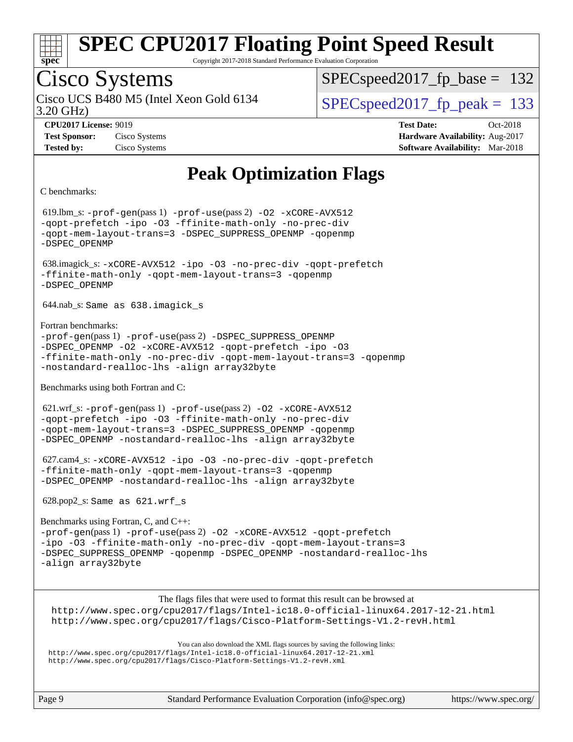

Copyright 2017-2018 Standard Performance Evaluation Corporation

### Cisco Systems

3.20 GHz) Cisco UCS B480 M5 (Intel Xeon Gold 6134  $\vert$  SPECspeed2017 fp\_peak = 133

SPECspeed2017 fp base =  $132$ 

**[CPU2017 License:](http://www.spec.org/auto/cpu2017/Docs/result-fields.html#CPU2017License)** 9019 **[Test Date:](http://www.spec.org/auto/cpu2017/Docs/result-fields.html#TestDate)** Oct-2018 **[Test Sponsor:](http://www.spec.org/auto/cpu2017/Docs/result-fields.html#TestSponsor)** Cisco Systems **[Hardware Availability:](http://www.spec.org/auto/cpu2017/Docs/result-fields.html#HardwareAvailability)** Aug-2017 **[Tested by:](http://www.spec.org/auto/cpu2017/Docs/result-fields.html#Testedby)** Cisco Systems **[Software Availability:](http://www.spec.org/auto/cpu2017/Docs/result-fields.html#SoftwareAvailability)** Mar-2018

### **[Peak Optimization Flags](http://www.spec.org/auto/cpu2017/Docs/result-fields.html#PeakOptimizationFlags)**

#### [C benchmarks:](http://www.spec.org/auto/cpu2017/Docs/result-fields.html#Cbenchmarks)

 619.lbm\_s: [-prof-gen](http://www.spec.org/cpu2017/results/res2018q4/cpu2017-20181113-09747.flags.html#user_peakPASS1_CFLAGSPASS1_LDFLAGS619_lbm_s_prof_gen_5aa4926d6013ddb2a31985c654b3eb18169fc0c6952a63635c234f711e6e63dd76e94ad52365559451ec499a2cdb89e4dc58ba4c67ef54ca681ffbe1461d6b36)(pass 1) [-prof-use](http://www.spec.org/cpu2017/results/res2018q4/cpu2017-20181113-09747.flags.html#user_peakPASS2_CFLAGSPASS2_LDFLAGS619_lbm_s_prof_use_1a21ceae95f36a2b53c25747139a6c16ca95bd9def2a207b4f0849963b97e94f5260e30a0c64f4bb623698870e679ca08317ef8150905d41bd88c6f78df73f19)(pass 2) [-O2](http://www.spec.org/cpu2017/results/res2018q4/cpu2017-20181113-09747.flags.html#user_peakPASS1_COPTIMIZE619_lbm_s_f-O2) [-xCORE-AVX512](http://www.spec.org/cpu2017/results/res2018q4/cpu2017-20181113-09747.flags.html#user_peakPASS2_COPTIMIZE619_lbm_s_f-xCORE-AVX512) [-qopt-prefetch](http://www.spec.org/cpu2017/results/res2018q4/cpu2017-20181113-09747.flags.html#user_peakPASS1_COPTIMIZEPASS2_COPTIMIZE619_lbm_s_f-qopt-prefetch) [-ipo](http://www.spec.org/cpu2017/results/res2018q4/cpu2017-20181113-09747.flags.html#user_peakPASS2_COPTIMIZE619_lbm_s_f-ipo) [-O3](http://www.spec.org/cpu2017/results/res2018q4/cpu2017-20181113-09747.flags.html#user_peakPASS2_COPTIMIZE619_lbm_s_f-O3) [-ffinite-math-only](http://www.spec.org/cpu2017/results/res2018q4/cpu2017-20181113-09747.flags.html#user_peakPASS1_COPTIMIZEPASS2_COPTIMIZE619_lbm_s_f_finite_math_only_cb91587bd2077682c4b38af759c288ed7c732db004271a9512da14a4f8007909a5f1427ecbf1a0fb78ff2a814402c6114ac565ca162485bbcae155b5e4258871) [-no-prec-div](http://www.spec.org/cpu2017/results/res2018q4/cpu2017-20181113-09747.flags.html#user_peakPASS2_COPTIMIZE619_lbm_s_f-no-prec-div) [-qopt-mem-layout-trans=3](http://www.spec.org/cpu2017/results/res2018q4/cpu2017-20181113-09747.flags.html#user_peakPASS1_COPTIMIZEPASS2_COPTIMIZE619_lbm_s_f-qopt-mem-layout-trans_de80db37974c74b1f0e20d883f0b675c88c3b01e9d123adea9b28688d64333345fb62bc4a798493513fdb68f60282f9a726aa07f478b2f7113531aecce732043) [-DSPEC\\_SUPPRESS\\_OPENMP](http://www.spec.org/cpu2017/results/res2018q4/cpu2017-20181113-09747.flags.html#suite_peakPASS1_COPTIMIZE619_lbm_s_DSPEC_SUPPRESS_OPENMP) [-qopenmp](http://www.spec.org/cpu2017/results/res2018q4/cpu2017-20181113-09747.flags.html#user_peakPASS2_COPTIMIZE619_lbm_s_qopenmp_16be0c44f24f464004c6784a7acb94aca937f053568ce72f94b139a11c7c168634a55f6653758ddd83bcf7b8463e8028bb0b48b77bcddc6b78d5d95bb1df2967) [-DSPEC\\_OPENMP](http://www.spec.org/cpu2017/results/res2018q4/cpu2017-20181113-09747.flags.html#suite_peakPASS2_COPTIMIZE619_lbm_s_DSPEC_OPENMP) 638.imagick\_s: [-xCORE-AVX512](http://www.spec.org/cpu2017/results/res2018q4/cpu2017-20181113-09747.flags.html#user_peakCOPTIMIZE638_imagick_s_f-xCORE-AVX512) [-ipo](http://www.spec.org/cpu2017/results/res2018q4/cpu2017-20181113-09747.flags.html#user_peakCOPTIMIZE638_imagick_s_f-ipo) [-O3](http://www.spec.org/cpu2017/results/res2018q4/cpu2017-20181113-09747.flags.html#user_peakCOPTIMIZE638_imagick_s_f-O3) [-no-prec-div](http://www.spec.org/cpu2017/results/res2018q4/cpu2017-20181113-09747.flags.html#user_peakCOPTIMIZE638_imagick_s_f-no-prec-div) [-qopt-prefetch](http://www.spec.org/cpu2017/results/res2018q4/cpu2017-20181113-09747.flags.html#user_peakCOPTIMIZE638_imagick_s_f-qopt-prefetch) [-ffinite-math-only](http://www.spec.org/cpu2017/results/res2018q4/cpu2017-20181113-09747.flags.html#user_peakCOPTIMIZE638_imagick_s_f_finite_math_only_cb91587bd2077682c4b38af759c288ed7c732db004271a9512da14a4f8007909a5f1427ecbf1a0fb78ff2a814402c6114ac565ca162485bbcae155b5e4258871) [-qopt-mem-layout-trans=3](http://www.spec.org/cpu2017/results/res2018q4/cpu2017-20181113-09747.flags.html#user_peakCOPTIMIZE638_imagick_s_f-qopt-mem-layout-trans_de80db37974c74b1f0e20d883f0b675c88c3b01e9d123adea9b28688d64333345fb62bc4a798493513fdb68f60282f9a726aa07f478b2f7113531aecce732043) [-qopenmp](http://www.spec.org/cpu2017/results/res2018q4/cpu2017-20181113-09747.flags.html#user_peakCOPTIMIZE638_imagick_s_qopenmp_16be0c44f24f464004c6784a7acb94aca937f053568ce72f94b139a11c7c168634a55f6653758ddd83bcf7b8463e8028bb0b48b77bcddc6b78d5d95bb1df2967) [-DSPEC\\_OPENMP](http://www.spec.org/cpu2017/results/res2018q4/cpu2017-20181113-09747.flags.html#suite_peakCOPTIMIZE638_imagick_s_DSPEC_OPENMP) 644.nab\_s: Same as 638.imagick\_s [Fortran benchmarks](http://www.spec.org/auto/cpu2017/Docs/result-fields.html#Fortranbenchmarks): [-prof-gen](http://www.spec.org/cpu2017/results/res2018q4/cpu2017-20181113-09747.flags.html#user_FCpeak_prof_gen_5aa4926d6013ddb2a31985c654b3eb18169fc0c6952a63635c234f711e6e63dd76e94ad52365559451ec499a2cdb89e4dc58ba4c67ef54ca681ffbe1461d6b36)(pass 1) [-prof-use](http://www.spec.org/cpu2017/results/res2018q4/cpu2017-20181113-09747.flags.html#user_FCpeak_prof_use_1a21ceae95f36a2b53c25747139a6c16ca95bd9def2a207b4f0849963b97e94f5260e30a0c64f4bb623698870e679ca08317ef8150905d41bd88c6f78df73f19)(pass 2) [-DSPEC\\_SUPPRESS\\_OPENMP](http://www.spec.org/cpu2017/results/res2018q4/cpu2017-20181113-09747.flags.html#suite_FCpeak_DSPEC_SUPPRESS_OPENMP) [-DSPEC\\_OPENMP](http://www.spec.org/cpu2017/results/res2018q4/cpu2017-20181113-09747.flags.html#suite_FCpeak_DSPEC_OPENMP) [-O2](http://www.spec.org/cpu2017/results/res2018q4/cpu2017-20181113-09747.flags.html#user_FCpeak_f-O2) [-xCORE-AVX512](http://www.spec.org/cpu2017/results/res2018q4/cpu2017-20181113-09747.flags.html#user_FCpeak_f-xCORE-AVX512) [-qopt-prefetch](http://www.spec.org/cpu2017/results/res2018q4/cpu2017-20181113-09747.flags.html#user_FCpeak_f-qopt-prefetch) [-ipo](http://www.spec.org/cpu2017/results/res2018q4/cpu2017-20181113-09747.flags.html#user_FCpeak_f-ipo) [-O3](http://www.spec.org/cpu2017/results/res2018q4/cpu2017-20181113-09747.flags.html#user_FCpeak_f-O3) [-ffinite-math-only](http://www.spec.org/cpu2017/results/res2018q4/cpu2017-20181113-09747.flags.html#user_FCpeak_f_finite_math_only_cb91587bd2077682c4b38af759c288ed7c732db004271a9512da14a4f8007909a5f1427ecbf1a0fb78ff2a814402c6114ac565ca162485bbcae155b5e4258871) [-no-prec-div](http://www.spec.org/cpu2017/results/res2018q4/cpu2017-20181113-09747.flags.html#user_FCpeak_f-no-prec-div) [-qopt-mem-layout-trans=3](http://www.spec.org/cpu2017/results/res2018q4/cpu2017-20181113-09747.flags.html#user_FCpeak_f-qopt-mem-layout-trans_de80db37974c74b1f0e20d883f0b675c88c3b01e9d123adea9b28688d64333345fb62bc4a798493513fdb68f60282f9a726aa07f478b2f7113531aecce732043) [-qopenmp](http://www.spec.org/cpu2017/results/res2018q4/cpu2017-20181113-09747.flags.html#user_FCpeak_qopenmp_16be0c44f24f464004c6784a7acb94aca937f053568ce72f94b139a11c7c168634a55f6653758ddd83bcf7b8463e8028bb0b48b77bcddc6b78d5d95bb1df2967) [-nostandard-realloc-lhs](http://www.spec.org/cpu2017/results/res2018q4/cpu2017-20181113-09747.flags.html#user_FCpeak_f_2003_std_realloc_82b4557e90729c0f113870c07e44d33d6f5a304b4f63d4c15d2d0f1fab99f5daaed73bdb9275d9ae411527f28b936061aa8b9c8f2d63842963b95c9dd6426b8a) [-align array32byte](http://www.spec.org/cpu2017/results/res2018q4/cpu2017-20181113-09747.flags.html#user_FCpeak_align_array32byte_b982fe038af199962ba9a80c053b8342c548c85b40b8e86eb3cc33dee0d7986a4af373ac2d51c3f7cf710a18d62fdce2948f201cd044323541f22fc0fffc51b6) [Benchmarks using both Fortran and C:](http://www.spec.org/auto/cpu2017/Docs/result-fields.html#BenchmarksusingbothFortranandC) 621.wrf\_s: [-prof-gen](http://www.spec.org/cpu2017/results/res2018q4/cpu2017-20181113-09747.flags.html#user_peakPASS1_CFLAGSPASS1_FFLAGSPASS1_LDFLAGS621_wrf_s_prof_gen_5aa4926d6013ddb2a31985c654b3eb18169fc0c6952a63635c234f711e6e63dd76e94ad52365559451ec499a2cdb89e4dc58ba4c67ef54ca681ffbe1461d6b36)(pass 1) [-prof-use](http://www.spec.org/cpu2017/results/res2018q4/cpu2017-20181113-09747.flags.html#user_peakPASS2_CFLAGSPASS2_FFLAGSPASS2_LDFLAGS621_wrf_s_prof_use_1a21ceae95f36a2b53c25747139a6c16ca95bd9def2a207b4f0849963b97e94f5260e30a0c64f4bb623698870e679ca08317ef8150905d41bd88c6f78df73f19)(pass 2) [-O2](http://www.spec.org/cpu2017/results/res2018q4/cpu2017-20181113-09747.flags.html#user_peakPASS1_COPTIMIZEPASS1_FOPTIMIZE621_wrf_s_f-O2) [-xCORE-AVX512](http://www.spec.org/cpu2017/results/res2018q4/cpu2017-20181113-09747.flags.html#user_peakPASS2_COPTIMIZEPASS2_FOPTIMIZE621_wrf_s_f-xCORE-AVX512) [-qopt-prefetch](http://www.spec.org/cpu2017/results/res2018q4/cpu2017-20181113-09747.flags.html#user_peakPASS1_COPTIMIZEPASS1_FOPTIMIZEPASS2_COPTIMIZEPASS2_FOPTIMIZE621_wrf_s_f-qopt-prefetch) [-ipo](http://www.spec.org/cpu2017/results/res2018q4/cpu2017-20181113-09747.flags.html#user_peakPASS2_COPTIMIZEPASS2_FOPTIMIZE621_wrf_s_f-ipo) [-O3](http://www.spec.org/cpu2017/results/res2018q4/cpu2017-20181113-09747.flags.html#user_peakPASS2_COPTIMIZEPASS2_FOPTIMIZE621_wrf_s_f-O3) [-ffinite-math-only](http://www.spec.org/cpu2017/results/res2018q4/cpu2017-20181113-09747.flags.html#user_peakPASS1_COPTIMIZEPASS1_FOPTIMIZEPASS2_COPTIMIZEPASS2_FOPTIMIZE621_wrf_s_f_finite_math_only_cb91587bd2077682c4b38af759c288ed7c732db004271a9512da14a4f8007909a5f1427ecbf1a0fb78ff2a814402c6114ac565ca162485bbcae155b5e4258871) [-no-prec-div](http://www.spec.org/cpu2017/results/res2018q4/cpu2017-20181113-09747.flags.html#user_peakPASS2_COPTIMIZEPASS2_FOPTIMIZE621_wrf_s_f-no-prec-div) [-qopt-mem-layout-trans=3](http://www.spec.org/cpu2017/results/res2018q4/cpu2017-20181113-09747.flags.html#user_peakPASS1_COPTIMIZEPASS1_FOPTIMIZEPASS2_COPTIMIZEPASS2_FOPTIMIZE621_wrf_s_f-qopt-mem-layout-trans_de80db37974c74b1f0e20d883f0b675c88c3b01e9d123adea9b28688d64333345fb62bc4a798493513fdb68f60282f9a726aa07f478b2f7113531aecce732043) [-DSPEC\\_SUPPRESS\\_OPENMP](http://www.spec.org/cpu2017/results/res2018q4/cpu2017-20181113-09747.flags.html#suite_peakPASS1_COPTIMIZEPASS1_FOPTIMIZE621_wrf_s_DSPEC_SUPPRESS_OPENMP) [-qopenmp](http://www.spec.org/cpu2017/results/res2018q4/cpu2017-20181113-09747.flags.html#user_peakPASS2_COPTIMIZEPASS2_FOPTIMIZE621_wrf_s_qopenmp_16be0c44f24f464004c6784a7acb94aca937f053568ce72f94b139a11c7c168634a55f6653758ddd83bcf7b8463e8028bb0b48b77bcddc6b78d5d95bb1df2967) [-DSPEC\\_OPENMP](http://www.spec.org/cpu2017/results/res2018q4/cpu2017-20181113-09747.flags.html#suite_peakPASS2_COPTIMIZEPASS2_FOPTIMIZE621_wrf_s_DSPEC_OPENMP) [-nostandard-realloc-lhs](http://www.spec.org/cpu2017/results/res2018q4/cpu2017-20181113-09747.flags.html#user_peakEXTRA_FOPTIMIZE621_wrf_s_f_2003_std_realloc_82b4557e90729c0f113870c07e44d33d6f5a304b4f63d4c15d2d0f1fab99f5daaed73bdb9275d9ae411527f28b936061aa8b9c8f2d63842963b95c9dd6426b8a) [-align array32byte](http://www.spec.org/cpu2017/results/res2018q4/cpu2017-20181113-09747.flags.html#user_peakEXTRA_FOPTIMIZE621_wrf_s_align_array32byte_b982fe038af199962ba9a80c053b8342c548c85b40b8e86eb3cc33dee0d7986a4af373ac2d51c3f7cf710a18d62fdce2948f201cd044323541f22fc0fffc51b6) 627.cam4\_s: [-xCORE-AVX512](http://www.spec.org/cpu2017/results/res2018q4/cpu2017-20181113-09747.flags.html#user_peakCOPTIMIZEFOPTIMIZE627_cam4_s_f-xCORE-AVX512) [-ipo](http://www.spec.org/cpu2017/results/res2018q4/cpu2017-20181113-09747.flags.html#user_peakCOPTIMIZEFOPTIMIZE627_cam4_s_f-ipo) [-O3](http://www.spec.org/cpu2017/results/res2018q4/cpu2017-20181113-09747.flags.html#user_peakCOPTIMIZEFOPTIMIZE627_cam4_s_f-O3) [-no-prec-div](http://www.spec.org/cpu2017/results/res2018q4/cpu2017-20181113-09747.flags.html#user_peakCOPTIMIZEFOPTIMIZE627_cam4_s_f-no-prec-div) [-qopt-prefetch](http://www.spec.org/cpu2017/results/res2018q4/cpu2017-20181113-09747.flags.html#user_peakCOPTIMIZEFOPTIMIZE627_cam4_s_f-qopt-prefetch) [-ffinite-math-only](http://www.spec.org/cpu2017/results/res2018q4/cpu2017-20181113-09747.flags.html#user_peakCOPTIMIZEFOPTIMIZE627_cam4_s_f_finite_math_only_cb91587bd2077682c4b38af759c288ed7c732db004271a9512da14a4f8007909a5f1427ecbf1a0fb78ff2a814402c6114ac565ca162485bbcae155b5e4258871) [-qopt-mem-layout-trans=3](http://www.spec.org/cpu2017/results/res2018q4/cpu2017-20181113-09747.flags.html#user_peakCOPTIMIZEFOPTIMIZE627_cam4_s_f-qopt-mem-layout-trans_de80db37974c74b1f0e20d883f0b675c88c3b01e9d123adea9b28688d64333345fb62bc4a798493513fdb68f60282f9a726aa07f478b2f7113531aecce732043) [-qopenmp](http://www.spec.org/cpu2017/results/res2018q4/cpu2017-20181113-09747.flags.html#user_peakCOPTIMIZEFOPTIMIZE627_cam4_s_qopenmp_16be0c44f24f464004c6784a7acb94aca937f053568ce72f94b139a11c7c168634a55f6653758ddd83bcf7b8463e8028bb0b48b77bcddc6b78d5d95bb1df2967) [-DSPEC\\_OPENMP](http://www.spec.org/cpu2017/results/res2018q4/cpu2017-20181113-09747.flags.html#suite_peakCOPTIMIZEFOPTIMIZE627_cam4_s_DSPEC_OPENMP) [-nostandard-realloc-lhs](http://www.spec.org/cpu2017/results/res2018q4/cpu2017-20181113-09747.flags.html#user_peakEXTRA_FOPTIMIZE627_cam4_s_f_2003_std_realloc_82b4557e90729c0f113870c07e44d33d6f5a304b4f63d4c15d2d0f1fab99f5daaed73bdb9275d9ae411527f28b936061aa8b9c8f2d63842963b95c9dd6426b8a) [-align array32byte](http://www.spec.org/cpu2017/results/res2018q4/cpu2017-20181113-09747.flags.html#user_peakEXTRA_FOPTIMIZE627_cam4_s_align_array32byte_b982fe038af199962ba9a80c053b8342c548c85b40b8e86eb3cc33dee0d7986a4af373ac2d51c3f7cf710a18d62fdce2948f201cd044323541f22fc0fffc51b6) 628.pop2\_s: Same as 621.wrf\_s [Benchmarks using Fortran, C, and C++:](http://www.spec.org/auto/cpu2017/Docs/result-fields.html#BenchmarksusingFortranCandCXX) [-prof-gen](http://www.spec.org/cpu2017/results/res2018q4/cpu2017-20181113-09747.flags.html#user_CC_CXX_FCpeak_prof_gen_5aa4926d6013ddb2a31985c654b3eb18169fc0c6952a63635c234f711e6e63dd76e94ad52365559451ec499a2cdb89e4dc58ba4c67ef54ca681ffbe1461d6b36)(pass 1) [-prof-use](http://www.spec.org/cpu2017/results/res2018q4/cpu2017-20181113-09747.flags.html#user_CC_CXX_FCpeak_prof_use_1a21ceae95f36a2b53c25747139a6c16ca95bd9def2a207b4f0849963b97e94f5260e30a0c64f4bb623698870e679ca08317ef8150905d41bd88c6f78df73f19)(pass 2) [-O2](http://www.spec.org/cpu2017/results/res2018q4/cpu2017-20181113-09747.flags.html#user_CC_CXX_FCpeak_f-O2) [-xCORE-AVX512](http://www.spec.org/cpu2017/results/res2018q4/cpu2017-20181113-09747.flags.html#user_CC_CXX_FCpeak_f-xCORE-AVX512) [-qopt-prefetch](http://www.spec.org/cpu2017/results/res2018q4/cpu2017-20181113-09747.flags.html#user_CC_CXX_FCpeak_f-qopt-prefetch) [-ipo](http://www.spec.org/cpu2017/results/res2018q4/cpu2017-20181113-09747.flags.html#user_CC_CXX_FCpeak_f-ipo) [-O3](http://www.spec.org/cpu2017/results/res2018q4/cpu2017-20181113-09747.flags.html#user_CC_CXX_FCpeak_f-O3) [-ffinite-math-only](http://www.spec.org/cpu2017/results/res2018q4/cpu2017-20181113-09747.flags.html#user_CC_CXX_FCpeak_f_finite_math_only_cb91587bd2077682c4b38af759c288ed7c732db004271a9512da14a4f8007909a5f1427ecbf1a0fb78ff2a814402c6114ac565ca162485bbcae155b5e4258871) [-no-prec-div](http://www.spec.org/cpu2017/results/res2018q4/cpu2017-20181113-09747.flags.html#user_CC_CXX_FCpeak_f-no-prec-div) [-qopt-mem-layout-trans=3](http://www.spec.org/cpu2017/results/res2018q4/cpu2017-20181113-09747.flags.html#user_CC_CXX_FCpeak_f-qopt-mem-layout-trans_de80db37974c74b1f0e20d883f0b675c88c3b01e9d123adea9b28688d64333345fb62bc4a798493513fdb68f60282f9a726aa07f478b2f7113531aecce732043) [-DSPEC\\_SUPPRESS\\_OPENMP](http://www.spec.org/cpu2017/results/res2018q4/cpu2017-20181113-09747.flags.html#suite_CC_CXX_FCpeak_DSPEC_SUPPRESS_OPENMP) [-qopenmp](http://www.spec.org/cpu2017/results/res2018q4/cpu2017-20181113-09747.flags.html#user_CC_CXX_FCpeak_qopenmp_16be0c44f24f464004c6784a7acb94aca937f053568ce72f94b139a11c7c168634a55f6653758ddd83bcf7b8463e8028bb0b48b77bcddc6b78d5d95bb1df2967) [-DSPEC\\_OPENMP](http://www.spec.org/cpu2017/results/res2018q4/cpu2017-20181113-09747.flags.html#suite_CC_CXX_FCpeak_DSPEC_OPENMP) [-nostandard-realloc-lhs](http://www.spec.org/cpu2017/results/res2018q4/cpu2017-20181113-09747.flags.html#user_CC_CXX_FCpeak_f_2003_std_realloc_82b4557e90729c0f113870c07e44d33d6f5a304b4f63d4c15d2d0f1fab99f5daaed73bdb9275d9ae411527f28b936061aa8b9c8f2d63842963b95c9dd6426b8a) [-align array32byte](http://www.spec.org/cpu2017/results/res2018q4/cpu2017-20181113-09747.flags.html#user_CC_CXX_FCpeak_align_array32byte_b982fe038af199962ba9a80c053b8342c548c85b40b8e86eb3cc33dee0d7986a4af373ac2d51c3f7cf710a18d62fdce2948f201cd044323541f22fc0fffc51b6) The flags files that were used to format this result can be browsed at <http://www.spec.org/cpu2017/flags/Intel-ic18.0-official-linux64.2017-12-21.html> <http://www.spec.org/cpu2017/flags/Cisco-Platform-Settings-V1.2-revH.html>

You can also download the XML flags sources by saving the following links: <http://www.spec.org/cpu2017/flags/Intel-ic18.0-official-linux64.2017-12-21.xml> <http://www.spec.org/cpu2017/flags/Cisco-Platform-Settings-V1.2-revH.xml>